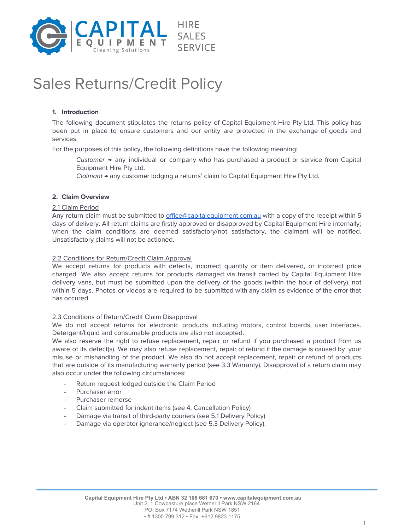

# Sales Returns/Credit Policy

# **1. Introduction**

The following document stipulates the returns policy of Capital Equipment Hire Pty Ltd. This policy has been put in place to ensure customers and our entity are protected in the exchange of goods and services.

For the purposes of this policy, the following definitions have the following meaning:

Customer  $\rightarrow$  any individual or company who has purchased a product or service from Capital Equipment Hire Pty Ltd.

Claimant → any customer lodging a returns' claim to Capital Equipment Hire Pty Ltd.

# **2. Claim Overview**

#### 2.1 Claim Period

Any return claim must be submitted to [office@capitalequipment.com.au](mailto:office@capitalequipment.com.au) with a copy of the receipt within 5 days of delivery. All return claims are firstly approved or disapproved by Capital Equipment Hire internally; when the claim conditions are deemed satisfactory/not satisfactory, the claimant will be notified. Unsatisfactory claims will not be actioned.

#### 2.2 Conditions for Return/Credit Claim Approval

We accept returns for products with defects, incorrect quantity or item delivered, or incorrect price charged. We also accept returns for products damaged via transit carried by Capital Equipment Hire delivery vans, but must be submitted upon the delivery of the goods (within the hour of delivery), not within 5 days. Photos or videos are required to be submitted with any claim as evidence of the error that has occured.

#### 2.3 Conditions of Return/Credit Claim Disapproval

We do not accept returns for electronic products including motors, control boards, user interfaces. Detergent/liquid and consumable products are also not accepted.

We also reserve the right to refuse replacement, repair or refund if you purchased a product from us aware of its defect(s). We may also refuse replacement, repair of refund if the damage is caused by your misuse or mishandling of the product. We also do not accept replacement, repair or refund of products that are outside of its manufacturing warranty period (see 3.3 Warranty). Disapproval of a return claim may also occur under the following circumstances:

- Return request lodged outside the Claim Period
- Purchaser error
- Purchaser remorse
- Claim submitted for indent items (see 4. Cancellation Policy)
- Damage via transit of third-party couriers (see 5.1 Delivery Policy)
- Damage via operator ignorance/neglect (see 5.3 Delivery Policy).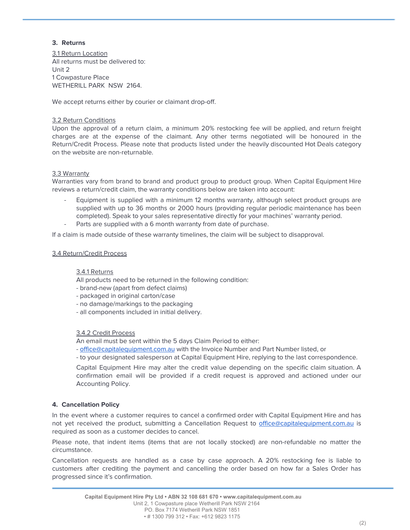# **3. Returns**

3.1 Return Location All returns must be delivered to: Unit 2 1 Cowpasture Place WETHERILL PARK NSW 2164.

We accept returns either by courier or claimant drop-off.

# 3.2 Return Conditions

Upon the approval of a return claim, a minimum 20% restocking fee will be applied, and return freight charges are at the expense of the claimant. Any other terms negotiated will be honoured in the Return/Credit Process. Please note that products listed under the heavily discounted Hot Deals category on the website are non-returnable.

# 3.3 Warranty

Warranties vary from brand to brand and product group to product group. When Capital Equipment Hire reviews a return/credit claim, the warranty conditions below are taken into account:

- Equipment is supplied with a minimum 12 months warranty, although select product groups are supplied with up to 36 months or 2000 hours (providing regular periodic maintenance has been completed). Speak to your sales representative directly for your machines' warranty period.
- Parts are supplied with a 6 month warranty from date of purchase.

If a claim is made outside of these warranty timelines, the claim will be subject to disapproval.

# 3.4 Return/Credit Process

# 3.4.1 Returns

All products need to be returned in the following condition:

- brand-new (apart from defect claims)
- packaged in original carton/case
- no damage/markings to the packaging
- all components included in initial delivery.

# 3.4.2 Credit Process

An email must be sent within the 5 days Claim Period to either:

- [office@capitalequipment.com.au](mailto:office@capitalequipment.com.au) with the Invoice Number and Part Number listed, or

- to your designated salesperson at Capital Equipment Hire, replying to the last correspondence.

Capital Equipment Hire may alter the credit value depending on the specific claim situation. A confirmation email will be provided if a credit request is approved and actioned under our Accounting Policy.

# **4. Cancellation Policy**

In the event where a customer requires to cancel a confirmed order with Capital Equipment Hire and has not yet received the product, submitting a Cancellation Request to [office@capitalequipment.com.au](mailto:office@capitalequipment.com.au) is required as soon as a customer decides to cancel.

Please note, that indent items (items that are not locally stocked) are non-refundable no matter the circumstance.

Cancellation requests are handled as a case by case approach. A 20% restocking fee is liable to customers after crediting the payment and cancelling the order based on how far a Sales Order has progressed since it's confirmation.